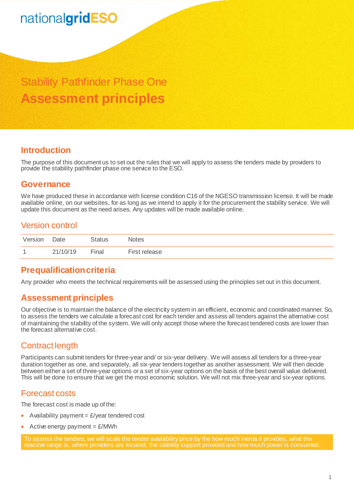# nationalgridESO

Stability Pathfinder Phase One **Assessment principles** 

## **Introduction**

The purpose of this document us to set out the rules that we will apply to assess the tenders made by providers to provide the stability pathfinder phase one service to the ESO.

## **Governance**

We have produced these in accordance with license condition C16 of the NGESO transmission license. It will be made available online, on our websites, for as long as we intend to apply it for the procurement the stability service. We will update this document as the need arises. Any updates will be made available online.

## Version control

| Version        | Date     | Status | Notes         |
|----------------|----------|--------|---------------|
| $\overline{ }$ | 21/10/19 | Final  | First release |

## **Prequalification criteria**

Any provider who meets the technical requirements will be assessed using the principles set out in this document.

## **Assessment principles**

Our objective is to maintain the balance of the electricity system in an efficient, economic and coordinated manner. So, to assess the tenders we calculate a forecast cost for each tender and assess all tenders against the alternative cost of maintaining the stability of the system. We will only accept those where the forecast tendered costs are lower than the forecast alternative cost.

## Contract length

Participants can submit tenders for three-year and/ or six-year delivery. We will assess all tenders for a three-year duration together as one, and separately, all six-year tenders together as another assessment. We will then decide between either a set of three-year options or a set of six-year options on the basis of the best overall value delivered. This will be done to ensure that we get the most economic solution. We will not mix three-year and six-year options.

## Forecast costs

The forecast cost is made up of the:

- Availability payment =  $E$ /year tendered cost
- Active energy payment  $= \frac{\mathcal{L}}{MWh}$

To assess the tenders, we will scale the tender availability price by the how much inertia it provides, what the reactive range is, where providers are located, the stability support provided and how much power is consumed.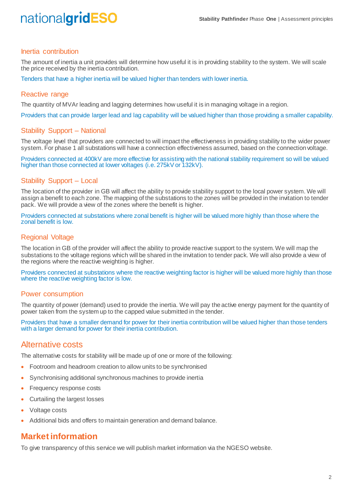# nationalgridESO

#### Inertia contribution

The amount of inertia a unit provides will determine how useful it is in providing stability to the system. We will scale the price received by the inertia contribution.

Tenders that have a higher inertia will be valued higher than tenders with lower inertia.

#### Reactive range

The quantity of MVAr leading and lagging determines how useful it is in managing voltage in a region.

Providers that can provide larger lead and lag capability will be valued higher than those providing a smaller capability.

#### Stability Support – National

The voltage level that providers are connected to will impact the effectiveness in providing stability to the wider power system. For phase 1 all substations will have a connection effectiveness assumed, based on the connection voltage.

Providers connected at 400kV are more effective for assisting with the national stability requirement so will be valued higher than those connected at lower voltages (i.e. 275kV or 132kV).

#### Stability Support – Local

The location of the provider in GB will affect the ability to provide stability support to the local power system. We will assign a benefit to each zone. The mapping of the substations to the zones will be provided in the invitation to tender pack. We will provide a view of the zones where the benefit is higher.

Providers connected at substations where zonal benefit is higher will be valued more highly than those where the zonal benefit is low.

#### Regional Voltage

The location in GB of the provider will affect the ability to provide reactive support to the system. We will map the substations to the voltage regions which will be shared in the invitation to tender pack. We will also provide a view of the regions where the reactive weighting is higher.

Providers connected at substations where the reactive weighting factor is higher will be valued more highly than those where the reactive weighting factor is low.

#### Power consumption

The quantity of power (demand) used to provide the inertia. We will pay the active energy payment for the quantity of power taken from the system up to the capped value submitted in the tender.

Providers that have a smaller demand for power for their inertia contribution will be valued higher than those tenders with a larger demand for power for their inertia contribution.

### Alternative costs

The alternative costs for stability will be made up of one or more of the following:

- Footroom and headroom creation to allow units to be synchronised
- Synchronising additional synchronous machines to provide inertia
- Frequency response costs
- Curtailing the largest losses
- Voltage costs
- Additional bids and offers to maintain generation and demand balance.

### **Market information**

To give transparency of this service we will publish market information via the NGESO website.